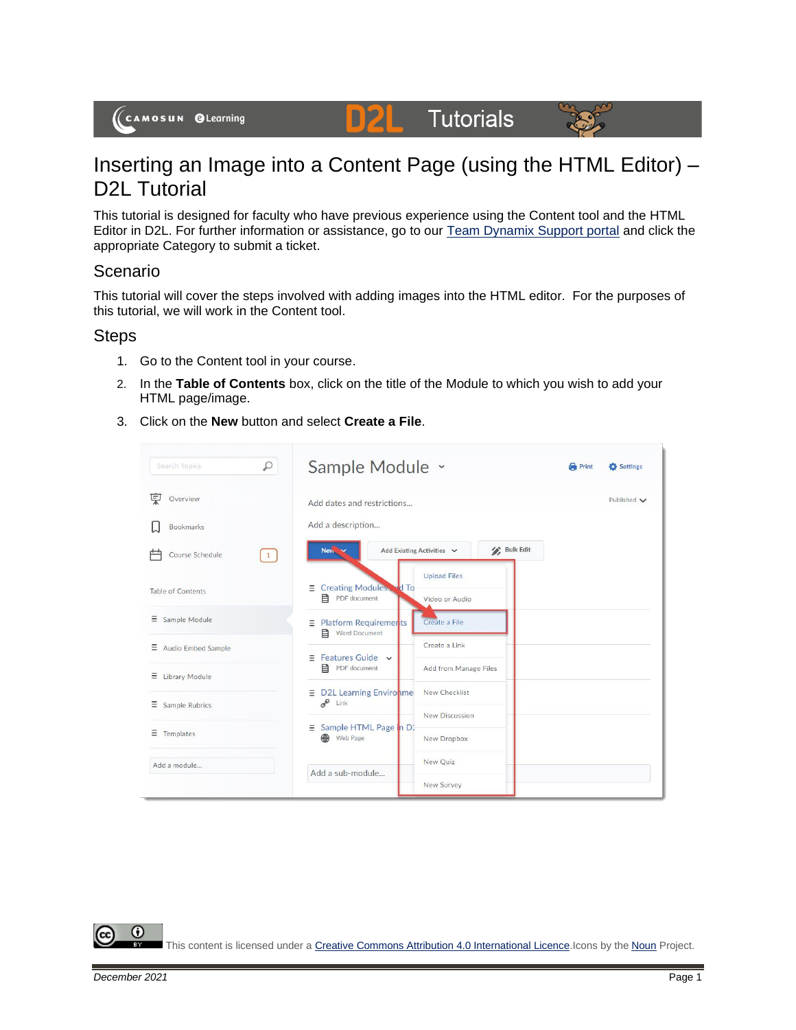(CAMOSUN @Learning

## Inserting an Image into a Content Page (using the HTML Editor) – D2L Tutorial

**D2L** Tutorials

This tutorial is designed for faculty who have previous experience using the Content tool and the HTML Editor in D2L. For further information or assistance, go to our [Team Dynamix Support portal](https://camosun.teamdynamix.com/TDClient/67/Portal/Requests/ServiceCatalog?CategoryID=523) and click the appropriate Category to submit a ticket.

## Scenario

This tutorial will cover the steps involved with adding images into the HTML editor. For the purposes of this tutorial, we will work in the Content tool.

## **Steps**

- 1. Go to the Content tool in your course.
- 2. In the **Table of Contents** box, click on the title of the Module to which you wish to add your HTML page/image.
- 3. Click on the **New** button and select **Create a File**.



0

This content is licensed under [a Creative Commons Attribution 4.0 International Licence.I](https://creativecommons.org/licenses/by/4.0/)cons by the [Noun](https://creativecommons.org/website-icons/) Project.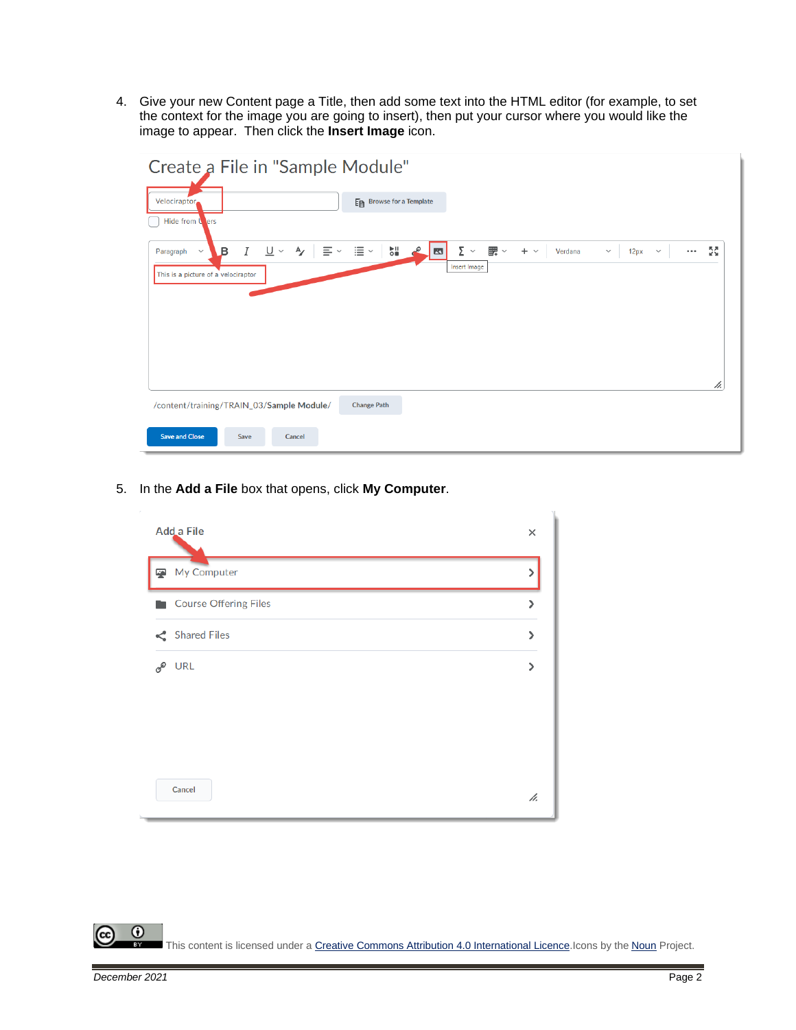4. Give your new Content page a Title, then add some text into the HTML editor (for example, to set the context for the image you are going to insert), then put your cursor where you would like the image to appear. Then click the **Insert Image** icon.

| Create a File in "Sample Module"                                                                                                       |                                                                                                                                                                                                                        |     |
|----------------------------------------------------------------------------------------------------------------------------------------|------------------------------------------------------------------------------------------------------------------------------------------------------------------------------------------------------------------------|-----|
| Velociraptor<br>Hide from U ers                                                                                                        | E <sub>P</sub> Browse for a Template                                                                                                                                                                                   |     |
| $\equiv$ $\scriptstyle\mathtt{v}$<br>. B<br>$\underline{\mathsf{U}}$ $\check{\phantom{a}}$<br>$\sim$<br>Ι<br>Paragraph<br>$\checkmark$ | $\mathbf{u} \equiv \mathbf{v}$<br>$\frac{1}{2}$<br>5ð<br>$\Sigma~\scriptstyle\sim$<br>罗 ▽<br>ھ<br>$\overline{\mathbf{K}}$<br>$+$ $\vee$<br>Verdana<br>12px<br>$\cdots$<br>$\checkmark$<br>$\checkmark$<br>Insert Image |     |
| This is a picture of a velociraptor                                                                                                    |                                                                                                                                                                                                                        |     |
|                                                                                                                                        |                                                                                                                                                                                                                        |     |
|                                                                                                                                        |                                                                                                                                                                                                                        | /ı. |
| /content/training/TRAIN_03/Sample Module/                                                                                              | <b>Change Path</b>                                                                                                                                                                                                     |     |
| <b>Save and Close</b><br>Save<br>Cancel                                                                                                |                                                                                                                                                                                                                        |     |

5. In the **Add a File** box that opens, click **My Computer**.



 $\odot$ This content is licensed under [a Creative Commons Attribution 4.0 International Licence.I](https://creativecommons.org/licenses/by/4.0/)cons by the [Noun](https://creativecommons.org/website-icons/) Project.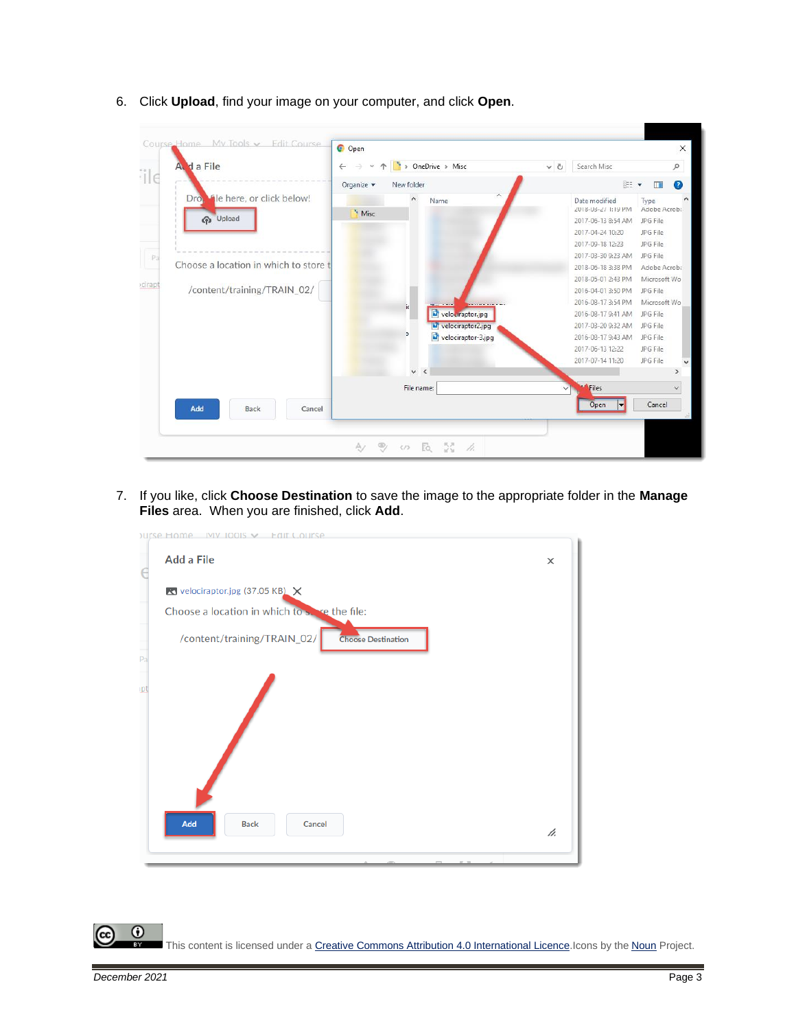|     | Course Home My Tools v Edit Course    | C Open     |                                          |                          |                                     | $\times$             |
|-----|---------------------------------------|------------|------------------------------------------|--------------------------|-------------------------------------|----------------------|
| A.  | d a File                              | ←          | > OneDrive > Misc                        | $\vee$ 0                 | Search Misc                         | $\varphi$            |
| ïle |                                       | Organize v | New folder                               |                          | <b>HEE</b>                          | $\bullet$<br>T       |
|     | Mile here, or click below!<br>Dro.    | Misc       | ∧<br>$\land$<br>Name                     |                          | Date modified<br>2018-03-27 1:19 PM | Type<br>Adobe Acroba |
|     | p Upload                              |            |                                          |                          | 2017-06-13 8:54 AM                  | JPG File             |
|     |                                       |            |                                          |                          | 2017-04-24 10:20                    | JPG File             |
|     |                                       |            |                                          |                          | 2017-09-18 12:23                    | JPG File             |
|     |                                       |            |                                          |                          | 2017-03-30 9:23 AM                  | JPG File             |
|     | Choose a location in which to store t |            |                                          |                          | 2018-06-18 3:38 PM                  | Adobe Acroba         |
|     |                                       |            |                                          |                          | 2018-05-01 2:43 PM                  | Microsoft Wo         |
|     | /content/training/TRAIN_02/           |            |                                          |                          | 2016-04-01 3:50 PM                  | JPG File             |
|     |                                       |            | ic                                       |                          | 2016-08-17 3:54 PM                  | Microsoft Wo         |
|     |                                       |            | velociraptor.jpg                         |                          | 2016-08-17 9:41 AM                  | JPG File             |
|     |                                       |            | velociraptor2.jpg                        |                          | 2017-03-20 9:32 AM                  | JPG File             |
|     |                                       |            | $\mathcal{D}$<br>団<br>velociraptor-3.jpg |                          | 2016-08-17 9:43 AM                  | JPG File             |
|     |                                       |            |                                          |                          | 2017-06-13 12:22                    | JPG File             |
|     |                                       |            |                                          | 2017-07-14 11:20         | JPG File                            |                      |
|     |                                       | $\vee$ <   |                                          |                          | $\rightarrow$                       |                      |
|     |                                       |            | File name:                               | $\overline{\phantom{a}}$ | <b>MAFiles</b>                      | $\checkmark$         |
|     | Add<br><b>Back</b><br>Cancel          |            |                                          |                          | Open<br>IV                          | Cancel               |
|     |                                       |            |                                          |                          |                                     |                      |
|     |                                       |            |                                          |                          |                                     |                      |

6. Click **Upload**, find your image on your computer, and click **Open**.

7. If you like, click **Choose Destination** to save the image to the appropriate folder in the **Manage Files** area. When you are finished, click **Add**.

| ourse Home<br><b>IVIV</b><br>$10015 \times$<br><b>Edit Course</b> |    |
|-------------------------------------------------------------------|----|
| <b>Add a File</b>                                                 | ×  |
| R velociraptor.jpg (37.05 KB) X                                   |    |
| Choose a location in which to seve the file:                      |    |
| /content/training/TRAIN_02/<br><b>Choose Destination</b><br>Pa    |    |
| ipt                                                               |    |
| Add<br><b>Back</b><br>Cancel                                      | h. |
|                                                                   |    |

 $\overline{0}$ This content is licensed under [a Creative Commons Attribution 4.0 International Licence.I](https://creativecommons.org/licenses/by/4.0/)cons by the [Noun](https://creativecommons.org/website-icons/) Project.